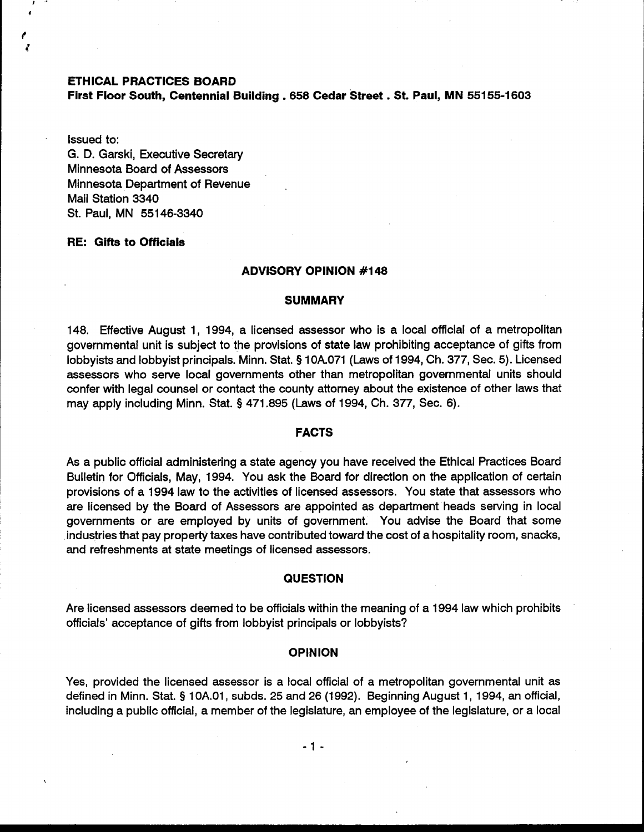### **ETHICAL PRACTICES BOARD**

**First Floor South, Centennial Building** . **<sup>658</sup>Cedar 'Street** . **St. Paul, MN 55155-1603** 

Issued to: G. D. Garski, Executive Secretary Minnesota Board of Assessors Minnesota Department of Revenue Mail Station 3340 St. Paul, MN 551 46-3340

## **RE: Gifts to Officials**

#### I **ADVISORY OPINION #I48**

### **SUMMARY**

148. Effective August 1, 1994, a licensed assessor who is a local official of a metropolitan governmental unit is subject to the provisions of state law prohibiting acceptance of gifts from lobbyists and lobbyist principals. Minn. Stat. **9** 10A.071 (Laws of 1994, Ch. 377, Sec. 5). Licensed assessors who serve local governments other than metropolitan governmental units should confer with legal counsel or contact the county attorney about the existence of other laws that may apply including Minn. Stat. **9** 471.895 (Laws of 1994, Ch. 377, Sec. 6).

# <sup>I</sup>**FACTS**

As a public official administering a state agency you have received the Ethical Practices Board Bulletin for Officials, May, 1994. You ask the Board for direction on the application of certain provisions of a 1994 law to the activities of licensed assessors. You state that assessors who are licensed by the Board of Assessors are appointed as department heads serving in local governments or are employed by units of government. You advise the Board that some industries that pay property taxes have contributed toward the cost of a hospitality room, snacks, and refreshments at state meetings of licensed assessors.

### **QUESTION**

Are licensed assessors deemed to be officials within the meaning of a 1994 law which prohibits officials' acceptance of gifts from lobbyist principals or lobbyists?

#### **OPINION**

Yes, provided the licensed assessor is a local official of a metropolitan governmental unit as defined in Minn. Stat. **9** 1 0A.01, subds. 25 and 26 (1992). Beginning August 1, 1994, an official, including a public official, a member of the legislature, an employee of the legislature, or a local

 $-1 -$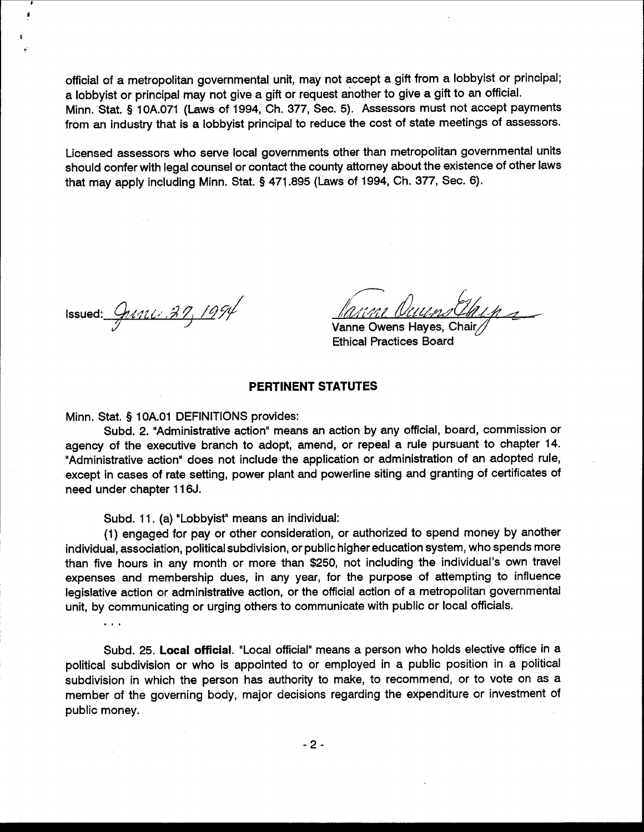official of a metropolitan governmental unit, may not accept a gift from a lobbyist or principal; a lobbyist or principal may not give a gift or request another to give a gift to an official. Minn. Stat. § 10A.071 (Laws of 1994, Ch. 377, Sec. 5). Assessors must not accept payments from an industry that is a lobbyist principal to reduce the cost of state meetings of assessors.

Licensed assessors who serve local governments other than metropolitan governmental units should confer with legal counsel or contact the county attorney about the existence of other laws that may apply including Minn. Stat. § 471.895 (Laws of 1994, Ch. 377, Sec. 6).

Issued:  $911137, 1994$ 

 $\mathbf{1}$ 

Vanne Owens Hayes, Chair **Ethical Practices Board** 

## PERTINENT STATUTES

Minn. Stat. § 10A.01 DEFINITIONS provides:

Subd. 2. "Administrative action" means an action by any official, board, commission or agency of the executive branch to adopt, amend, or repeal a rule pursuant to chapter 14. "Administrative action" does not include the application or administration of an adopted rule, except in cases of rate setting, power plant and powerline siting and granting of certificates of need under chapter 116J.

Subd. 11. (a) "Lobbyist" means an individual:

(1) engaged for pay or other consideration, or authorized to spend money by another individual, association, political subdivision, or public higher education system, who spends more than five hours in any month or more than \$250, not including the individual's own travel expenses and membership dues, in any year, for the purpose of attempting to influence legislative action or administrative action, or the official action of a metropolitan governmental unit, by communicating or urging others to communicate with public or local officials.

Subd. 25. Local official. "Local official" means a person who holds elective office in a political subdivision or who is appointed to or employed in a public position in a political subdivision in which the person has authority to make, to recommend, or to vote on as a member of the governing body, major decisions regarding the expenditure or investment of public money.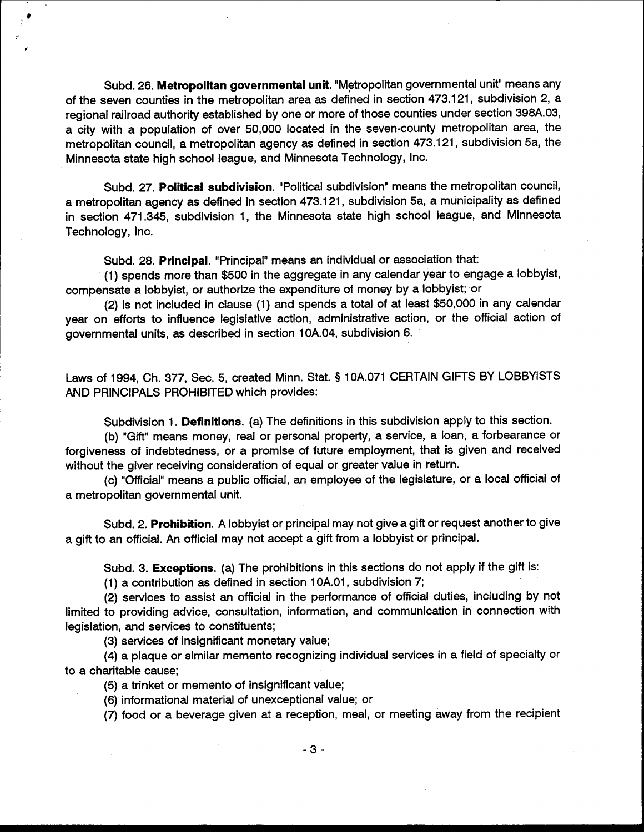Subd. 26. Metropolitan governmental unit. "Metropolitan governmental unit" means any of the seven counties in the metropolitan area as defined in section 473.121, subdivision 2, a regional railroad authority established by one or more of those counties under section 398A.03, a city with a population of over 50,000 located in the seven-county metropolitan area, the metropolitan council, a metropolitan agency as defined in section 473.121, subdivision 5a, the Minnesota state high school league, and Minnesota Technology, Inc.

Subd. 27. Political subdivision. "Political subdivision" means the metropolitan council, a metropolitan agency as defined in section 473.121, subdivision 5a, a municipality as defined in section 471.345, subdivision 1, the Minnesota state high school league, and Minnesota Technology, Inc.

Subd. 28. Principal. "Principal" means an individual or association that:

(1) spends more than \$500 in the aggregate in any calendar year to engage a lobbyist, compensate a lobbyist, or authorize the expenditure of money by a lobbyist; or

(2) is not included in clause (1) and spends a total of at least \$50,000 in any calendar year on efforts to influence legislative action, administrative action, or the official action of governmental units, as described in section 10A.04, subdivision 6.

Laws of 1994, Ch. 377, Sec. 5, created Minn. Stat. § 10A.071 CERTAIN GIFTS BY LOBBYISTS AND PRINCIPALS PROHIBITED which provides:

Subdivision 1. Definitions. (a) The definitions in this subdivision apply to this section.

(b) "Gift" means money, real or personal property, a service, a loan, a forbearance or forgiveness of indebtedness, or a promise of future employment, that is given and received without the giver receiving consideration of equal or greater value in return.

(c) "Official" means a public official, an employee of the legislature, or a local official of a metropolitan governmental unit.

Subd. 2. Prohibition. A lobbyist or principal may not give a gift or request another to give a gift to an official. An official may not accept a gift from a lobbyist or principal.

Subd. 3. Exceptions. (a) The prohibitions in this sections do not apply if the gift is:

(1) a contribution as defined in section 10A.01, subdivision 7;

(2) services to assist an official in the performance of official duties, including by not limited to providing advice, consultation, information, and communication in connection with legislation, and services to constituents;

(3) services of insignificant monetary value;

(4) a plaque or similar memento recognizing individual services in a field of specialty or to a charitable cause;

(5) a trinket or memento of insignificant value;

(6) informational material of unexceptional value; or

(7) food or a beverage given at a reception, meal, or meeting away from the recipient